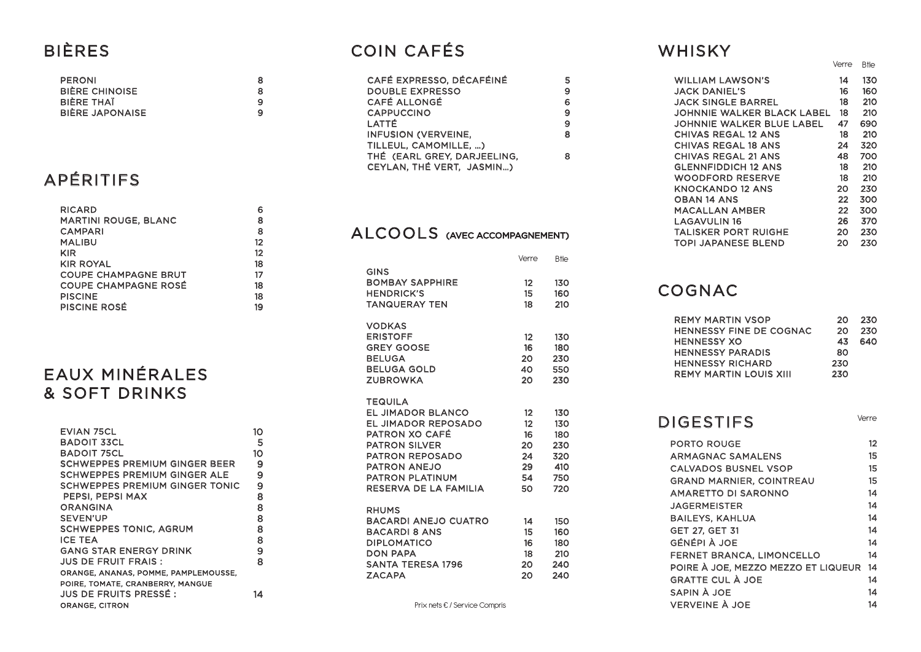### **BIÈRES**

### **PERONI** 8 8 **BIÈRE CHINOISE**  $\overline{9}$ **BIÈRE THAÏ BIÈRE JAPONAISE**  $\overline{9}$

## APÉRITIFS

| RICARD                      |                   |
|-----------------------------|-------------------|
| <b>MARTINI ROUGE, BLANC</b> | 8                 |
| <b>CAMPARI</b>              | 8                 |
| <b>MALIBU</b>               | $12 \overline{ }$ |
| KIR                         | $12 \,$           |
| <b>KIR ROYAL</b>            | 18                |
| COUPE CHAMPAGNE BRUT        | 17                |
| <b>COUPE CHAMPAGNE ROSÉ</b> | 18                |
| <b>PISCINE</b>              | 18                |
| <b>PISCINE ROSÉ</b>         | 19                |

### EAUX MINÉRALES & SOFT DRINKS

| EVIAN 75CL                            | 10 |
|---------------------------------------|----|
| BADOIT 33CL                           | 5  |
| <b>BADOIT 75CL</b>                    | 10 |
| SCHWEPPES PREMIUM GINGER BEER         | 9  |
| SCHWEPPES PREMIUM GINGER ALE          | 9  |
| <b>SCHWEPPES PREMIUM GINGER TONIC</b> | 9  |
| PEPSI, PEPSI MAX                      | 8  |
| <b>ORANGINA</b>                       | 8  |
| SEVEN'UP                              | 8  |
| <b>SCHWEPPES TONIC, AGRUM</b>         | 8  |
| <b>ICE TEA</b>                        | 8  |
| <b>GANG STAR ENERGY DRINK</b>         | 9  |
| JUS DE FRUIT FRAIS :                  | 8  |
| ORANGE, ANANAS, POMME, PAMPLEMOUSSE,  |    |
| POIRE, TOMATE, CRANBERRY, MANGUE      |    |
| JUS DE FRUITS PRESSÉ :                | 14 |
| <b>ORANGE, CITRON</b>                 |    |

### **COIN CAFÉS**

| CAFÉ EXPRESSO, DÉCAFÉINÉ    |   |
|-----------------------------|---|
| <b>DOUBLE EXPRESSO</b>      | 9 |
| <b>CAFÉ ALLONGÉ</b>         |   |
| <b>CAPPUCCINO</b>           | 9 |
| LATTÉ                       | 9 |
| <b>INFUSION (VERVEINE.</b>  |   |
| TILLEUL, CAMOMILLE, )       |   |
| THÉ (EARL GREY, DARJEELING, |   |
| CEYLAN, THÉ VERT, JASMIN)   |   |

### ALCOOLS (AVEC ACCOMPAGNEMENT)

|                                                                                                                                                                                                                        | Verre                                        | <b>B</b> tle                                         |
|------------------------------------------------------------------------------------------------------------------------------------------------------------------------------------------------------------------------|----------------------------------------------|------------------------------------------------------|
| <b>GINS</b><br><b>BOMBAY SAPPHIRE</b><br><b>HENDRICK'S</b><br><b>TANQUERAY TEN</b>                                                                                                                                     | 12<br>15 <sub>15</sub><br>18                 | 130<br>160<br>210                                    |
| <b>VODKAS</b><br><b>ERISTOFF</b><br><b>GREY GOOSE</b><br><b>BELUGA</b><br><b>BELUGA GOLD</b><br><b>ZUBROWKA</b>                                                                                                        | 12<br>16<br>20<br>40<br>20                   | 130<br>180<br>230<br>550<br>230                      |
| <b>TEQUILA</b><br><b>EL JIMADOR BLANCO</b><br><b>EL JIMADOR REPOSADO</b><br>PATRON XO CAFÉ<br><b>PATRON SILVER</b><br><b>PATRON REPOSADO</b><br><b>PATRON ANEJO</b><br><b>PATRON PLATINUM</b><br>RESERVA DE LA FAMILIA | 12<br>12<br>16<br>20<br>24<br>29<br>54<br>50 | 130<br>130<br>180<br>230<br>320<br>410<br>750<br>720 |
| <b>RHUMS</b><br><b>BACARDI ANEJO CUATRO</b><br><b>BACARDI 8 ANS</b><br><b>DIPLOMATICO</b><br><b>DON PAPA</b><br><b>SANTA TERESA 1796</b><br><b>ZACAPA</b>                                                              | 14<br>15<br>16<br>18<br>20<br>20             | 150<br>160<br>180<br>210<br>240<br>240               |

Prix nets € / Service Compris

### WHISKY

| <b>JACI</b>                                                                                                                          |
|--------------------------------------------------------------------------------------------------------------------------------------|
| <b>JOH</b>                                                                                                                           |
| <b>JOH</b>                                                                                                                           |
|                                                                                                                                      |
|                                                                                                                                      |
|                                                                                                                                      |
|                                                                                                                                      |
|                                                                                                                                      |
|                                                                                                                                      |
|                                                                                                                                      |
|                                                                                                                                      |
|                                                                                                                                      |
|                                                                                                                                      |
|                                                                                                                                      |
|                                                                                                                                      |
| <b>CHIV</b><br><b>CHIV</b><br><b>CHIV</b><br><b>GLE</b><br><b>WO</b><br>KNO<br><b>OBA</b><br>MAC<br>LAG<br><b>TALI</b><br><b>TOP</b> |

**REM HENN HENN HENM HENN** REM'

**PORT ARMA CALVA GRAN** AMAR **JAGEI BAILE** GET<sub>2</sub> GÉNÉI **FERNI POIRE GRAT SAPIN** 

**VERV** 

|                             | Verre | <b>B</b> tle |
|-----------------------------|-------|--------------|
| <b>WILLIAM LAWSON'S</b>     | 14    | 130          |
| <b>JACK DANIEL'S</b>        | 16    | 160          |
| <b>JACK SINGLE BARREL</b>   | 18    | 210          |
| JOHNNIE WALKER BLACK LABEL  | 18    | 210          |
| JOHNNIE WALKER BLUE LABEL   | 47    | 690          |
| <b>CHIVAS REGAL 12 ANS</b>  | 18    | 210          |
| <b>CHIVAS REGAL 18 ANS</b>  | 24    | 320          |
| <b>CHIVAS REGAL 21 ANS</b>  | 48    | 700          |
| <b>GLENNFIDDICH 12 ANS</b>  | 18    | 210          |
| <b>WOODFORD RESERVE</b>     | 18    | 210          |
| <b>KNOCKANDO 12 ANS</b>     | 20    | 230          |
| <b>OBAN 14 ANS</b>          | 22    | 300          |
| MACALLAN AMBER              | 22    | 300          |
| LAGAVULIN 16                | 26    | 370          |
| <b>TALISKER PORT RUIGHE</b> | 20    | 230          |
| <b>TOPI JAPANESE BLEND</b>  | 20    | 230          |

### COGNAC

| Y MARTIN VSOP               | 20  | -230 |
|-----------------------------|-----|------|
| <b>NESSY FINE DE COGNAC</b> | 20. | -230 |
| NESSY XO                    | 43. | 640  |
| <b>NESSY PARADIS</b>        | 80  |      |
| NESSY RICHARD               | 230 |      |
| Y MARTIN LOUIS XIII         | 230 |      |
|                             |     |      |

### **DIGESTIFS**

Verre

| <b>O ROUGE</b>                  | 12 |
|---------------------------------|----|
| <b><i>AGNAC SAMALENS</i></b>    | 15 |
| <b>ADOS BUSNEL VSOP</b>         | 15 |
| <b>ID MARNIER, COINTREAU</b>    | 15 |
| RETTO DI SARONNO                | 14 |
| RMEISTER                        | 14 |
| <b>EYS, KAHLUA</b>              | 14 |
| 27, GET 31                      | 14 |
| PI À JOE                        | 14 |
| ET BRANCA, LIMONCELLO           | 14 |
| E À JOE, MEZZO MEZZO ET LIQUEUR | 14 |
| TE CUL À JOE                    | 14 |
| 1 À JOE                         | 14 |
| <b>EINE À JOE</b>               | 14 |
|                                 |    |